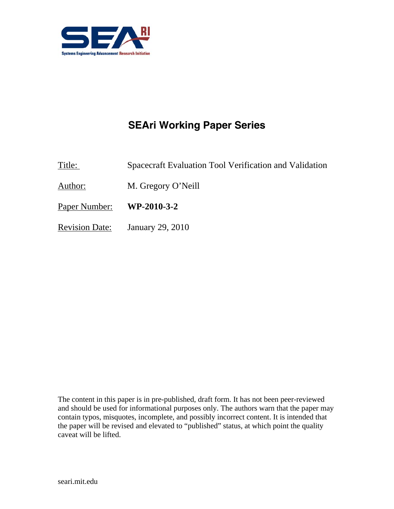

# **SEAri Working Paper Series**

Title: Spacecraft Evaluation Tool Verification and Validation

Author: M. Gregory O'Neill

Paper Number: **WP-2010-3-2** 

Revision Date: January 29, 2010

The content in this paper is in pre-published, draft form. It has not been peer-reviewed and should be used for informational purposes only. The authors warn that the paper may contain typos, misquotes, incomplete, and possibly incorrect content. It is intended that the paper will be revised and elevated to "published" status, at which point the quality caveat will be lifted.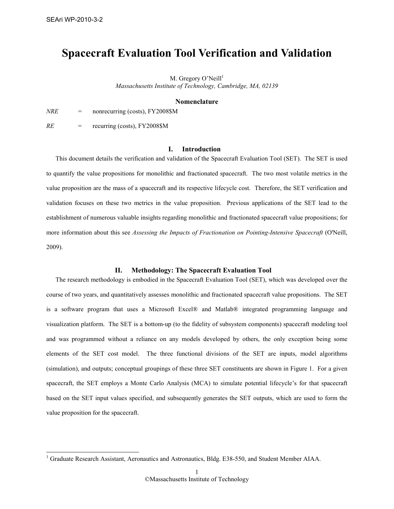-

# Spacecraft Evaluation Tool Verification and Validation

M. Gregory O'Neill $^1$ Massachusetts Institute of Technology, Cambridge, MA, 02139

#### **Nomenclature**

 $NRE$  = nonrecurring (costs), FY2008\$M

 $RE =$  recurring (costs), FY2008\$M

### I. Introduction

This document details the verification and validation of the Spacecraft Evaluation Tool (SET). The SET is used to quantify the value propositions for monolithic and fractionated spacecraft. The two most volatile metrics in the value proposition are the mass of a spacecraft and its respective lifecycle cost. Therefore, the SET verification and validation focuses on these two metrics in the value proposition. Previous applications of the SET lead to the establishment of numerous valuable insights regarding monolithic and fractionated spacecraft value propositions; for more information about this see Assessing the Impacts of Fractionation on Pointing-Intensive Spacecraft (O'Neill, 2009).

## II. Methodology: The Spacecraft Evaluation Tool

The research methodology is embodied in the Spacecraft Evaluation Tool (SET), which was developed over the course of two years, and quantitatively assesses monolithic and fractionated spacecraft value propositions. The SET is a software program that uses a Microsoft Excel® and Matlab® integrated programming language and visualization platform. The SET is a bottom-up (to the fidelity of subsystem components) spacecraft modeling tool and was programmed without a reliance on any models developed by others, the only exception being some elements of the SET cost model. The three functional divisions of the SET are inputs, model algorithms (simulation), and outputs; conceptual groupings of these three SET constituents are shown in Figure 1. For a given spacecraft, the SET employs a Monte Carlo Analysis (MCA) to simulate potential lifecycle's for that spacecraft based on the SET input values specified, and subsequently generates the SET outputs, which are used to form the value proposition for the spacecraft.

<sup>&</sup>lt;sup>1</sup> Graduate Research Assistant, Aeronautics and Astronautics, Bldg. E38-550, and Student Member AIAA.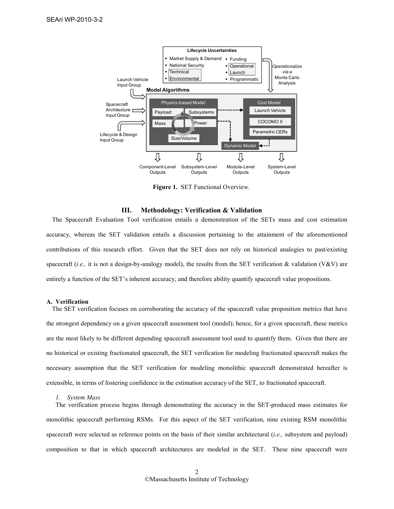

Figure 1. SET Functional Overview.

#### III. Methodology: Verification & Validation

The Spacecraft Evaluation Tool verification entails a demonstration of the SETs mass and cost estimation accuracy, whereas the SET validation entails a discussion pertaining to the attainment of the aforementioned contributions of this research effort. Given that the SET does not rely on historical analogies to past/existing spacecraft (i.e., it is not a design-by-analogy model), the results from the SET verification & validation (V&V) are entirely a function of the SET's inherent accuracy, and therefore ability quantify spacecraft value propositions.

#### A. Verification

The SET verification focuses on corroborating the accuracy of the spacecraft value proposition metrics that have the strongest dependency on a given spacecraft assessment tool (model); hence, for a given spacecraft, these metrics are the most likely to be different depending spacecraft assessment tool used to quantify them. Given that there are no historical or existing fractionated spacecraft, the SET verification for modeling fractionated spacecraft makes the necessary assumption that the SET verification for modeling monolithic spacecraft demonstrated hereafter is extensible, in terms of fostering confidence in the estimation accuracy of the SET, to fractionated spacecraft.

#### 1. System Mass

The verification process begins through demonstrating the accuracy in the SET-produced mass estimates for monolithic spacecraft performing RSMs. For this aspect of the SET verification, nine existing RSM monolithic spacecraft were selected as reference points on the basis of their similar architectural (i.e., subsystem and payload) composition to that in which spacecraft architectures are modeled in the SET. These nine spacecraft were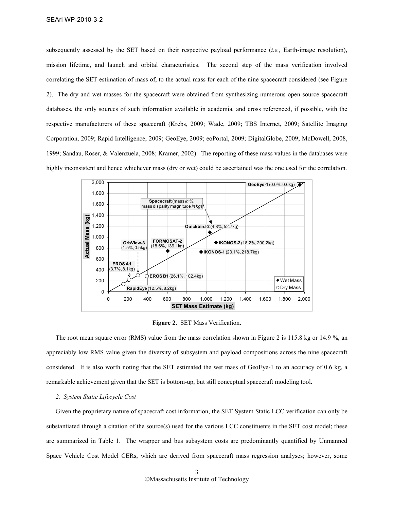subsequently assessed by the SET based on their respective payload performance (*i.e.*, Earth-image resolution), mission lifetime, and launch and orbital characteristics. The second step of the mass verification involved correlating the SET estimation of mass of, to the actual mass for each of the nine spacecraft considered (see Figure 2). The dry and wet masses for the spacecraft were obtained from synthesizing numerous open-source spacecraft databases, the only sources of such information available in academia, and cross referenced, if possible, with the respective manufacturers of these spacecraft (Krebs, 2009; Wade, 2009; TBS Internet, 2009; Satellite Imaging Corporation, 2009; Rapid Intelligence, 2009; GeoEye, 2009; eoPortal, 2009; DigitalGlobe, 2009; McDowell, 2008, 1999; Sandau, Roser, & Valenzuela, 2008; Kramer, 2002). The reporting of these mass values in the databases were highly inconsistent and hence whichever mass (dry or wet) could be ascertained was the one used for the correlation.



Figure 2. SET Mass Verification.

The root mean square error (RMS) value from the mass correlation shown in Figure 2 is 115.8 kg or 14.9 %, an appreciably low RMS value given the diversity of subsystem and payload compositions across the nine spacecraft considered. It is also worth noting that the SET estimated the wet mass of GeoEye-1 to an accuracy of 0.6 kg, a remarkable achievement given that the SET is bottom-up, but still conceptual spacecraft modeling tool.

#### 2. System Static Lifecycle Cost

Given the proprietary nature of spacecraft cost information, the SET System Static LCC verification can only be substantiated through a citation of the source(s) used for the various LCC constituents in the SET cost model; these are summarized in Table 1. The wrapper and bus subsystem costs are predominantly quantified by Unmanned Space Vehicle Cost Model CERs, which are derived from spacecraft mass regression analyses; however, some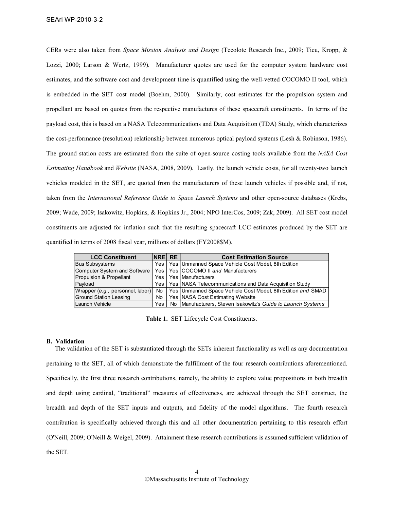CERs were also taken from Space Mission Analysis and Design (Tecolote Research Inc., 2009; Tieu, Kropp, & Lozzi, 2000; Larson & Wertz, 1999). Manufacturer quotes are used for the computer system hardware cost estimates, and the software cost and development time is quantified using the well-vetted COCOMO II tool, which is embedded in the SET cost model (Boehm, 2000). Similarly, cost estimates for the propulsion system and propellant are based on quotes from the respective manufactures of these spacecraft constituents. In terms of the payload cost, this is based on a NASA Telecommunications and Data Acquisition (TDA) Study, which characterizes the cost-performance (resolution) relationship between numerous optical payload systems (Lesh & Robinson, 1986). The ground station costs are estimated from the suite of open-source costing tools available from the ASA Cost Estimating Handbook and Website (NASA, 2008, 2009). Lastly, the launch vehicle costs, for all twenty-two launch vehicles modeled in the SET, are quoted from the manufacturers of these launch vehicles if possible and, if not, taken from the International Reference Guide to Space Launch Systems and other open-source databases (Krebs, 2009; Wade, 2009; Isakowitz, Hopkins, & Hopkins Jr., 2004; NPO InterCos, 2009; Zak, 2009). All SET cost model constituents are adjusted for inflation such that the resulting spacecraft LCC estimates produced by the SET are quantified in terms of 2008 fiscal year, millions of dollars (FY2008\$M).

| <b>LCC Constituent</b>        | <b>NRE RE</b> | <b>Cost Estimation Source</b>                                                                         |
|-------------------------------|---------------|-------------------------------------------------------------------------------------------------------|
| <b>Bus Subsystems</b>         |               | Yes   Yes   Unmanned Space Vehicle Cost Model, 8th Edition                                            |
| Computer System and Software  |               | Yes   Yes   COCOMO II and Manufacturers                                                               |
| Propulsion & Propellant       |               | Yes   Yes   Manufacturers                                                                             |
| Payload                       |               | Yes   Yes   NASA Telecommunications and Data Acquisition Study                                        |
|                               |               | Wrapper (e.g., personnel, labor)   No   Yes   Unmanned Space Vehicle Cost Model, 8th Edition and SMAD |
| <b>Ground Station Leasing</b> | No.           | Yes NASA Cost Estimating Website                                                                      |
| Launch Vehicle                | Yes l         | No  Manufacturers, Steven Isakowitz's Guide to Launch Systems                                         |

Table 1. SET Lifecycle Cost Constituents.

#### B. Validation

The validation of the SET is substantiated through the SETs inherent functionality as well as any documentation pertaining to the SET, all of which demonstrate the fulfillment of the four research contributions aforementioned. Specifically, the first three research contributions, namely, the ability to explore value propositions in both breadth and depth using cardinal, "traditional" measures of effectiveness, are achieved through the SET construct, the breadth and depth of the SET inputs and outputs, and fidelity of the model algorithms. The fourth research contribution is specifically achieved through this and all other documentation pertaining to this research effort (O'Neill, 2009; O'Neill & Weigel, 2009). Attainment these research contributions is assumed sufficient validation of the SET.